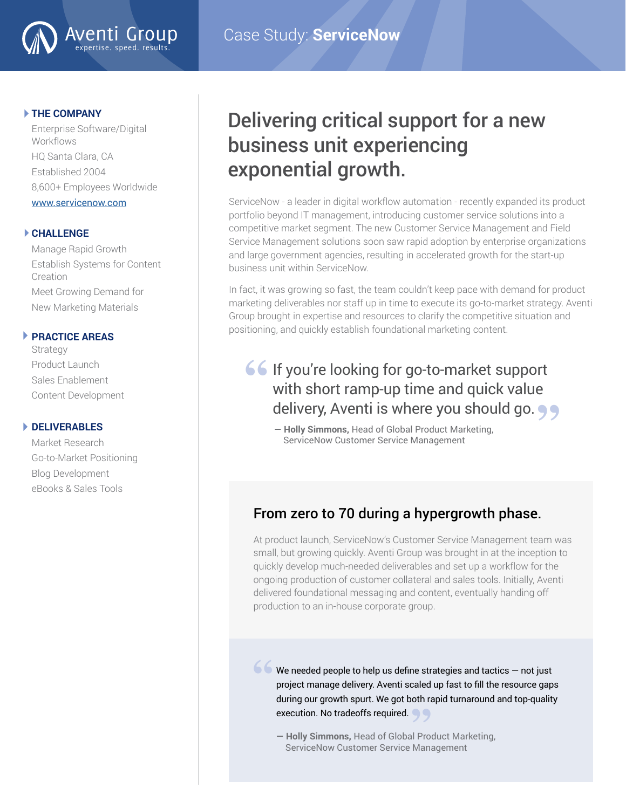

#### **THE COMPANY**

Enterprise Software/Digital **Workflows** HQ Santa Clara, CA Established 2004 8,600+ Employees Worldwide [www.servicenow.com](http://www.servicenow.com )

Aventi Gr

expertise. speed. results.

#### **CHALLENGE**

Manage Rapid Growth Establish Systems for Content Creation Meet Growing Demand for New Marketing Materials

#### **PRACTICE AREAS**

Strategy Product Launch Sales Enablement Content Development

#### **DELIVERABLES**

Market Research Go-to-Market Positioning Blog Development eBooks & Sales Tools

## Delivering critical support for a new business unit experiencing exponential growth.

ServiceNow - a leader in digital workflow automation - recently expanded its product portfolio beyond IT management, introducing customer service solutions into a competitive market segment. The new Customer Service Management and Field Service Management solutions soon saw rapid adoption by enterprise organizations and large government agencies, resulting in accelerated growth for the start-up business unit within ServiceNow.

In fact, it was growing so fast, the team couldn't keep pace with demand for product marketing deliverables nor staff up in time to execute its go-to-market strategy. Aventi Group brought in expertise and resources to clarify the competitive situation and positioning, and quickly establish foundational marketing content.

# **66** If you're looking for go-to-market support<br>with short ramp-up time and quick value with short ramp-up time and quick value

**— Holly Simmons,** Head of Global Product Marketing, ServiceNow Customer Service Management delivery, Aventi is where you should go. <br>  $\bullet$  - Holly Simmons, Head of Global Product Marketing,<br>
ServiceNow Customer Service Management

## From zero to 70 during a hypergrowth phase.

At product launch, ServiceNow's Customer Service Management team was small, but growing quickly. Aventi Group was brought in at the inception to quickly develop much-needed deliverables and set up a workflow for the ongoing production of customer collateral and sales tools. Initially, Aventi delivered foundational messaging and content, eventually handing off production to an in-house corporate group.

We needed people to help us define strategies and tactics — not just project manage delivery. Aventi scaled up fast to fill the resource gaps during our growth spurt. We got both rapid turnaround and top-quality **"**

execution. No tradeoffs required.<br> **- Holly Simmons**, Head of Global Pro **— Holly Simmons,** Head of Global Product Marketing, ServiceNow Customer Service Management